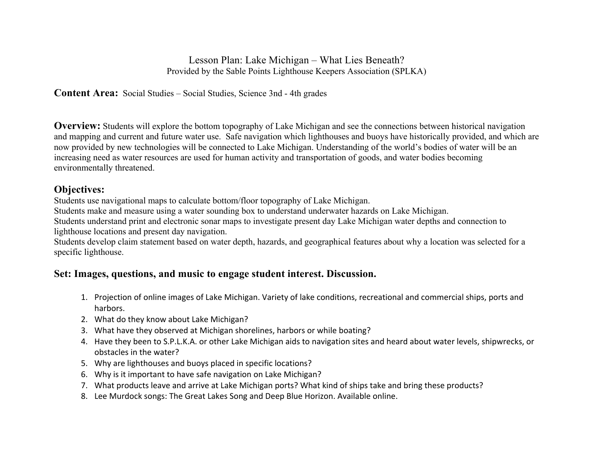Lesson Plan: Lake Michigan – What Lies Beneath? Provided by the Sable Points Lighthouse Keepers Association (SPLKA)

**Content Area:** Social Studies – Social Studies, Science 3nd - 4th grades

**Overview:** Students will explore the bottom topography of Lake Michigan and see the connections between historical navigation and mapping and current and future water use. Safe navigation which lighthouses and buoys have historically provided, and which are now provided by new technologies will be connected to Lake Michigan. Understanding of the world's bodies of water will be an increasing need as water resources are used for human activity and transportation of goods, and water bodies becoming environmentally threatened.

# **Objectives:**

Students use navigational maps to calculate bottom/floor topography of Lake Michigan.

Students make and measure using a water sounding box to understand underwater hazards on Lake Michigan.

Students understand print and electronic sonar maps to investigate present day Lake Michigan water depths and connection to lighthouse locations and present day navigation.

Students develop claim statement based on water depth, hazards, and geographical features about why a location was selected for a specific lighthouse.

# **Set: Images, questions, and music to engage student interest. Discussion.**

- 1. Projection of online images of Lake Michigan. Variety of lake conditions, recreational and commercial ships, ports and harbors.
- 2. What do they know about Lake Michigan?
- 3. What have they observed at Michigan shorelines, harbors or while boating?
- 4. Have they been to S.P.L.K.A. or other Lake Michigan aids to navigation sites and heard about water levels, shipwrecks, or obstacles in the water?
- 5. Why are lighthouses and buoys placed in specific locations?
- 6. Why is it important to have safe navigation on Lake Michigan?
- 7. What products leave and arrive at Lake Michigan ports? What kind of ships take and bring these products?
- 8. Lee Murdock songs: The Great Lakes Song and Deep Blue Horizon. Available online.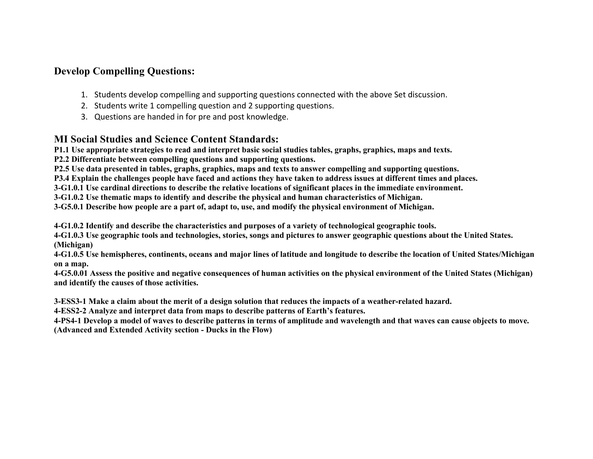### **Develop Compelling Questions:**

- 1. Students develop compelling and supporting questions connected with the above Set discussion.
- 2. Students write 1 compelling question and 2 supporting questions.
- 3. Questions are handed in for pre and post knowledge.

# **MI Social Studies and Science Content Standards:**

**P1.1 Use appropriate strategies to read and interpret basic social studies tables, graphs, graphics, maps and texts. P2.2 Differentiate between compelling questions and supporting questions.**

**P2.5 Use data presented in tables, graphs, graphics, maps and texts to answer compelling and supporting questions.**

**P3.4 Explain the challenges people have faced and actions they have taken to address issues at different times and places.**

**3-G1.0.1 Use cardinal directions to describe the relative locations of significant places in the immediate environment.**

**3-G1.0.2 Use thematic maps to identify and describe the physical and human characteristics of Michigan.**

**3-G5.0.1 Describe how people are a part of, adapt to, use, and modify the physical environment of Michigan.**

**4-G1.0.2 Identify and describe the characteristics and purposes of a variety of technological geographic tools.**

**4-G1.0.3 Use geographic tools and technologies, stories, songs and pictures to answer geographic questions about the United States. (Michigan)**

**4-G1.0.5 Use hemispheres, continents, oceans and major lines of latitude and longitude to describe the location of United States/Michigan on a map.**

**4-G5.0.01 Assess the positive and negative consequences of human activities on the physical environment of the United States (Michigan) and identify the causes of those activities.**

**3-ESS3-1 Make a claim about the merit of a design solution that reduces the impacts of a weather-related hazard.** 

**4-ESS2-2 Analyze and interpret data from maps to describe patterns of Earth's features.**

**4-PS4-1 Develop a model of waves to describe patterns in terms of amplitude and wavelength and that waves can cause objects to move. (Advanced and Extended Activity section - Ducks in the Flow)**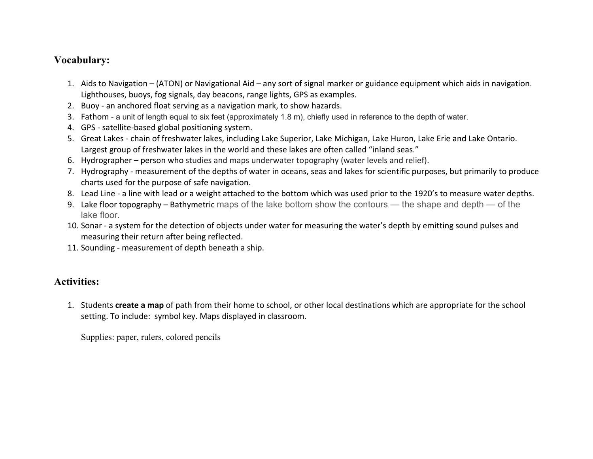# **Vocabulary:**

- 1. Aids to Navigation (ATON) or Navigational Aid any sort of signal marker or guidance equipment which aids in navigation. Lighthouses, buoys, fog signals, day beacons, range lights, GPS as examples.
- 2. Buoy an anchored float serving as a navigation mark, to show hazards.
- 3. Fathom a unit of length equal to six feet (approximately 1.8 m), chiefly used in reference to the depth of water.
- 4. GPS satellite-based global positioning system.
- 5. Great Lakes chain of freshwater lakes, including Lake Superior, Lake Michigan, Lake Huron, Lake Erie and Lake Ontario. Largest group of freshwater lakes in the world and these lakes are often called "inland seas."
- 6. Hydrographer person who studies and maps underwater topography (water levels and relief).
- 7. Hydrography measurement of the depths of water in oceans, seas and lakes for scientific purposes, but primarily to produce charts used for the purpose of safe navigation.
- 8. Lead Line a line with lead or a weight attached to the bottom which was used prior to the 1920's to measure water depths.
- 9. Lake floor topography Bathymetric maps of the lake bottom show the contours the shape and depth of the lake floor.
- 10. Sonar a system for the detection of objects under water for measuring the water's depth by emitting sound pulses and measuring their return after being reflected.
- 11. Sounding measurement of depth beneath a ship.

# **Activities:**

1. Students **create a map** of path from their home to school, or other local destinations which are appropriate for the school setting. To include: symbol key. Maps displayed in classroom.

Supplies: paper, rulers, colored pencils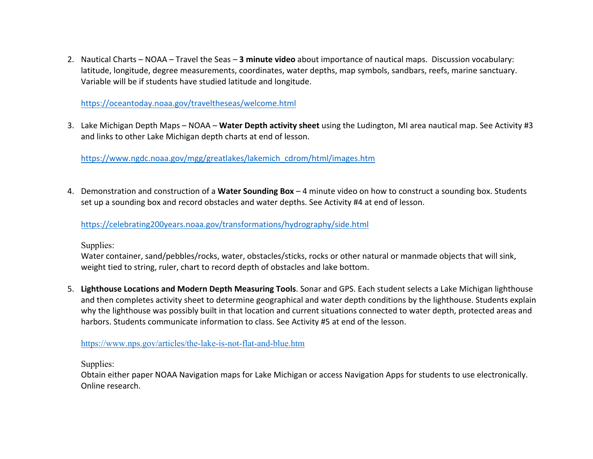2. Nautical Charts – NOAA – Travel the Seas – **3 minute video** about importance of nautical maps. Discussion vocabulary: latitude, longitude, degree measurements, coordinates, water depths, map symbols, sandbars, reefs, marine sanctuary. Variable will be if students have studied latitude and longitude.

https://oceantoday.noaa.gov/traveltheseas/welcome.html

3. Lake Michigan Depth Maps – NOAA – **Water Depth activity sheet** using the Ludington, MI area nautical map. See Activity #3 and links to other Lake Michigan depth charts at end of lesson.

https://www.ngdc.noaa.gov/mgg/greatlakes/lakemich\_cdrom/html/images.htm

4. Demonstration and construction of a **Water Sounding Box** – 4 minute video on how to construct a sounding box. Students set up a sounding box and record obstacles and water depths. See Activity #4 at end of lesson.

https://celebrating200years.noaa.gov/transformations/hydrography/side.html

Supplies:

Water container, sand/pebbles/rocks, water, obstacles/sticks, rocks or other natural or manmade objects that will sink, weight tied to string, ruler, chart to record depth of obstacles and lake bottom.

5. **Lighthouse Locations and Modern Depth Measuring Tools**. Sonar and GPS. Each student selects a Lake Michigan lighthouse and then completes activity sheet to determine geographical and water depth conditions by the lighthouse. Students explain why the lighthouse was possibly built in that location and current situations connected to water depth, protected areas and harbors. Students communicate information to class. See Activity #5 at end of the lesson.

https://www.nps.gov/articles/the-lake-is-not-flat-and-blue.htm

Supplies:

Obtain either paper NOAA Navigation maps for Lake Michigan or access Navigation Apps for students to use electronically. Online research.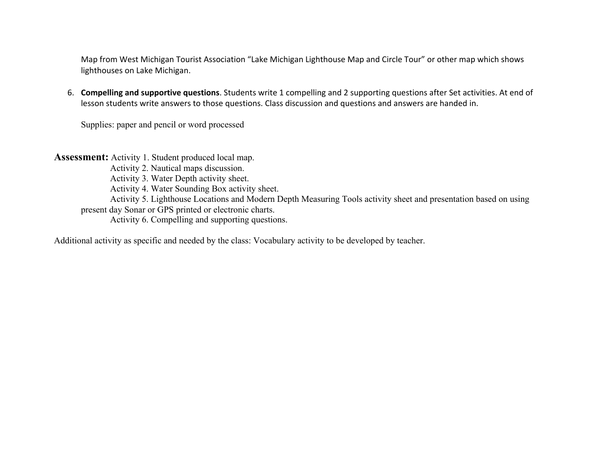Map from West Michigan Tourist Association "Lake Michigan Lighthouse Map and Circle Tour" or other map which shows lighthouses on Lake Michigan.

6. **Compelling and supportive questions**. Students write 1 compelling and 2 supporting questions after Set activities. At end of lesson students write answers to those questions. Class discussion and questions and answers are handed in.

Supplies: paper and pencil or word processed

**Assessment:** Activity 1. Student produced local map. Activity 2. Nautical maps discussion. Activity 3. Water Depth activity sheet. Activity 4. Water Sounding Box activity sheet. Activity 5. Lighthouse Locations and Modern Depth Measuring Tools activity sheet and presentation based on using present day Sonar or GPS printed or electronic charts. Activity 6. Compelling and supporting questions.

Additional activity as specific and needed by the class: Vocabulary activity to be developed by teacher.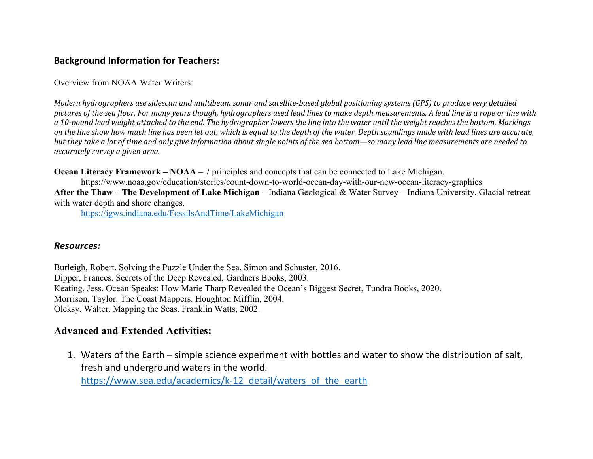### **Background Information for Teachers:**

#### Overview from NOAA Water Writers:

*Modern hydrographers use sidescan and multibeam sonar and satellite-based global positioning systems (GPS) to produce very detailed* pictures of the sea floor. For many years though, hydrographers used lead lines to make depth measurements. A lead line is a rope or line with *a* 10-pound lead weight attached to the end. The hydrographer lowers the line into the water until the weight reaches the bottom. Markings on the line show how much line has been let out, which is equal to the depth of the water. Depth soundings made with lead lines are accurate, *but* they take a lot of time and only give information about single points of the sea bottom—so many lead line measurements are needed to *accurately survey a given area.*

**Ocean Literacy Framework – NOAA** – 7 principles and concepts that can be connected to Lake Michigan.

https://www.noaa.gov/education/stories/count-down-to-world-ocean-day-with-our-new-ocean-literacy-graphics **After the Thaw – The Development of Lake Michigan** – Indiana Geological & Water Survey – Indiana University. Glacial retreat with water depth and shore changes.

https://igws.indiana.edu/FossilsAndTime/LakeMichigan

#### *Resources:*

Burleigh, Robert. Solving the Puzzle Under the Sea, Simon and Schuster, 2016. Dipper, Frances. Secrets of the Deep Revealed, Gardners Books, 2003. Keating, Jess. Ocean Speaks: How Marie Tharp Revealed the Ocean's Biggest Secret, Tundra Books, 2020. Morrison, Taylor. The Coast Mappers. Houghton Mifflin, 2004. Oleksy, Walter. Mapping the Seas. Franklin Watts, 2002.

### **Advanced and Extended Activities:**

1. Waters of the Earth – simple science experiment with bottles and water to show the distribution of salt, fresh and underground waters in the world. https://www.sea.edu/academics/k-12 detail/waters of the earth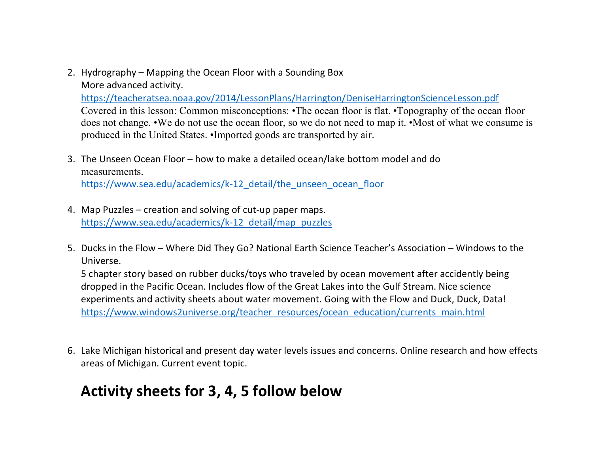2. Hydrography – Mapping the Ocean Floor with a Sounding Box

More advanced activity.

https://teacheratsea.noaa.gov/2014/LessonPlans/Harrington/DeniseHarringtonScienceLesson.pdf Covered in this lesson: Common misconceptions: •The ocean floor is flat. •Topography of the ocean floor does not change. •We do not use the ocean floor, so we do not need to map it. •Most of what we consume is produced in the United States. •Imported goods are transported by air.

- 3. The Unseen Ocean Floor how to make a detailed ocean/lake bottom model and do measurements. https://www.sea.edu/academics/k-12\_detail/the\_unseen\_ocean\_floor
- 4. Map Puzzles creation and solving of cut-up paper maps. https://www.sea.edu/academics/k-12\_detail/map\_puzzles
- 5. Ducks in the Flow Where Did They Go? National Earth Science Teacher's Association Windows to the Universe.

5 chapter story based on rubber ducks/toys who traveled by ocean movement after accidently being dropped in the Pacific Ocean. Includes flow of the Great Lakes into the Gulf Stream. Nice science experiments and activity sheets about water movement. Going with the Flow and Duck, Duck, Data! https://www.windows2universe.org/teacher\_resources/ocean\_education/currents\_main.html

6. Lake Michigan historical and present day water levels issues and concerns. Online research and how effects areas of Michigan. Current event topic.

# **Activity sheets for 3, 4, 5 follow below**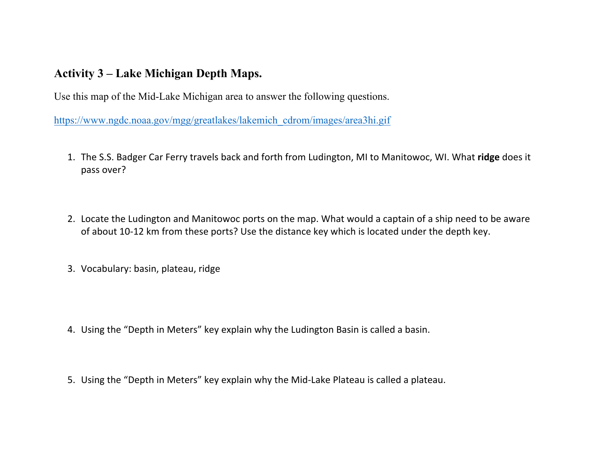# **Activity 3 – Lake Michigan Depth Maps.**

Use this map of the Mid-Lake Michigan area to answer the following questions.

https://www.ngdc.noaa.gov/mgg/greatlakes/lakemich\_cdrom/images/area3hi.gif

- 1. The S.S. Badger Car Ferry travels back and forth from Ludington, MI to Manitowoc, WI. What **ridge** does it pass over?
- 2. Locate the Ludington and Manitowoc ports on the map. What would a captain of a ship need to be aware of about 10-12 km from these ports? Use the distance key which is located under the depth key.
- 3. Vocabulary: basin, plateau, ridge

- 4. Using the "Depth in Meters" key explain why the Ludington Basin is called a basin.
- 5. Using the "Depth in Meters" key explain why the Mid-Lake Plateau is called a plateau.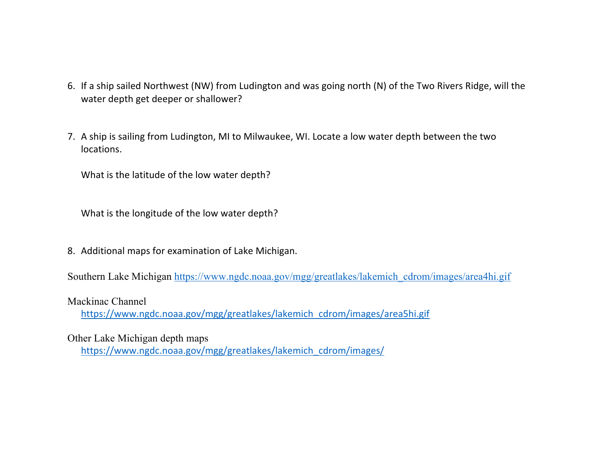- 6. If a ship sailed Northwest (NW) from Ludington and was going north (N) of the Two Rivers Ridge, will the water depth get deeper or shallower?
- 7. A ship is sailing from Ludington, MI to Milwaukee, WI. Locate a low water depth between the two locations.

What is the latitude of the low water depth?

What is the longitude of the low water depth?

8. Additional maps for examination of Lake Michigan.

Southern Lake Michigan https://www.ngdc.noaa.gov/mgg/greatlakes/lakemich\_cdrom/images/area4hi.gif

Mackinac Channel https://www.ngdc.noaa.gov/mgg/greatlakes/lakemich\_cdrom/images/area5hi.gif

Other Lake Michigan depth maps https://www.ngdc.noaa.gov/mgg/greatlakes/lakemich\_cdrom/images/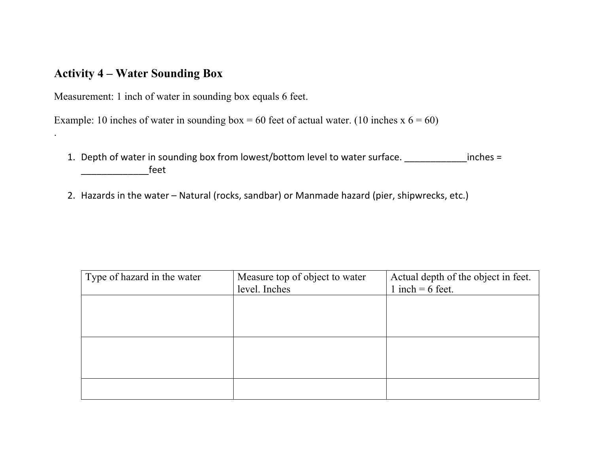# **Activity 4 – Water Sounding Box**

.

Measurement: 1 inch of water in sounding box equals 6 feet.

Example: 10 inches of water in sounding box = 60 feet of actual water. (10 inches x  $6 = 60$ )

- 1. Depth of water in sounding box from lowest/bottom level to water surface. \_\_\_\_\_\_\_\_\_\_\_\_\_\_\_\_\_\_\_\_\_\_\_\_\_\_\_\_\_ \_\_\_\_\_\_\_\_\_\_\_\_\_feet
- 2. Hazards in the water Natural (rocks, sandbar) or Manmade hazard (pier, shipwrecks, etc.)

| Type of hazard in the water | Measure top of object to water | Actual depth of the object in feet. |
|-----------------------------|--------------------------------|-------------------------------------|
|                             | level. Inches                  | 1 inch = $6$ feet.                  |
|                             |                                |                                     |
|                             |                                |                                     |
|                             |                                |                                     |
|                             |                                |                                     |
|                             |                                |                                     |
|                             |                                |                                     |
|                             |                                |                                     |
|                             |                                |                                     |
|                             |                                |                                     |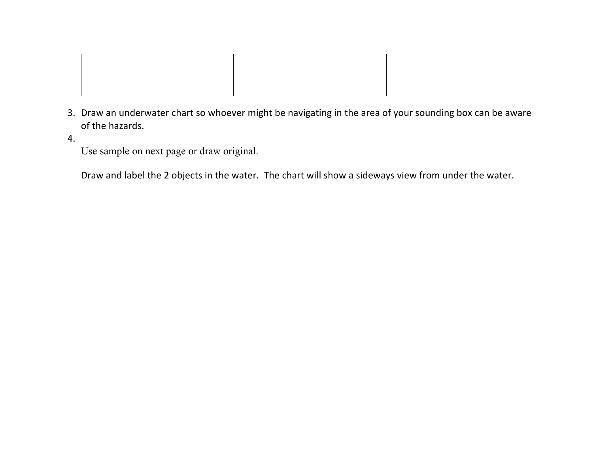- 3. Draw an underwater chart so whoever might be navigating in the area of your sounding box can be aware of the hazards.
- 4.

Use sample on next page or draw original.

Draw and label the 2 objects in the water. The chart will show a sideways view from under the water.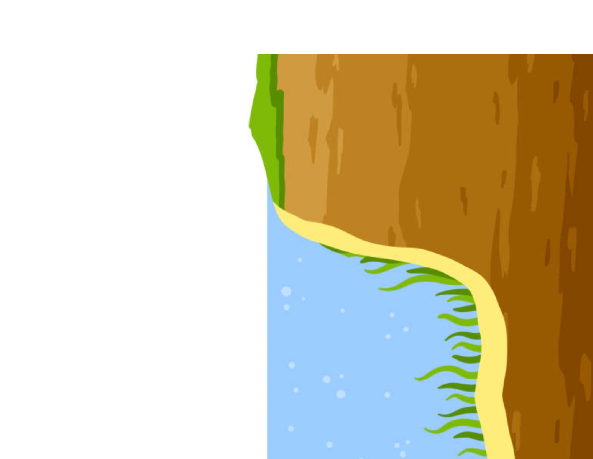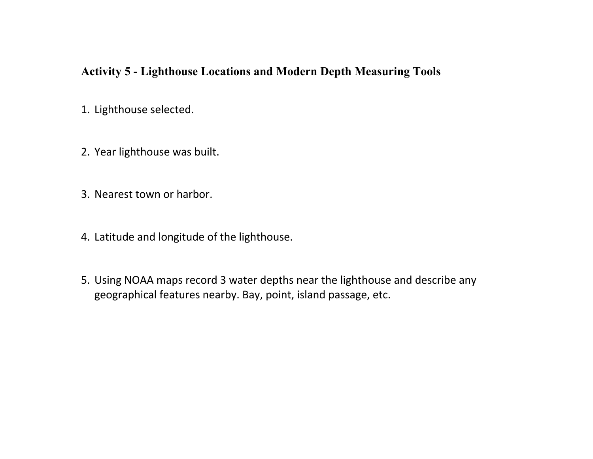# **Activity 5 - Lighthouse Locations and Modern Depth Measuring Tools**

- 1. Lighthouse selected.
- 2. Year lighthouse was built.
- 3. Nearest town or harbor.
- 4. Latitude and longitude of the lighthouse.
- 5. Using NOAA maps record 3 water depths near the lighthouse and describe any geographical features nearby. Bay, point, island passage, etc.